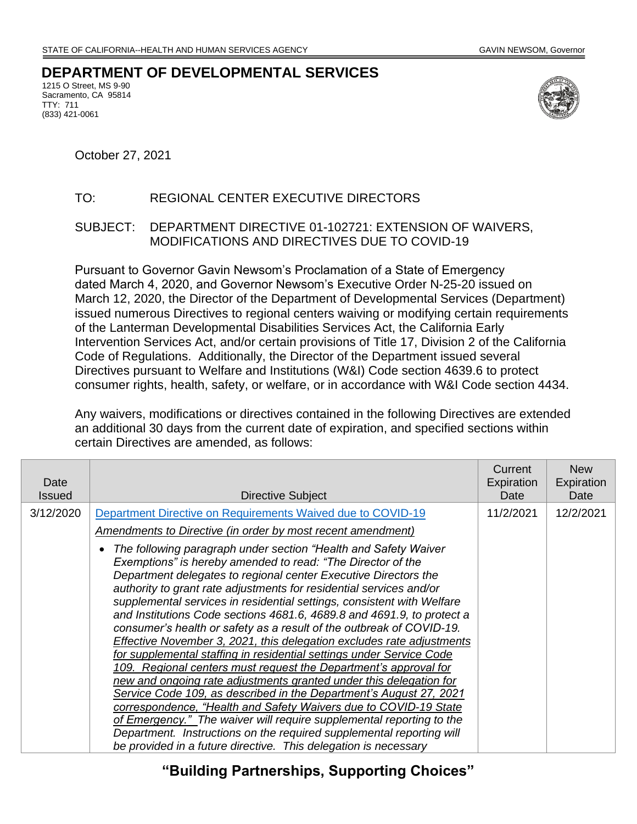## **DEPARTMENT OF DEVELOPMENTAL SERVICES**

1215 O Street, MS 9-90 Sacramento, CA 95814 TTY: 711 (833) 421-0061



October 27, 2021

## TO: REGIONAL CENTER EXECUTIVE DIRECTORS

SUBJECT: DEPARTMENT DIRECTIVE 01-102721: EXTENSION OF WAIVERS, MODIFICATIONS AND DIRECTIVES DUE TO COVID-19

Pursuant to Governor Gavin Newsom's Proclamation of a State of Emergency dated March 4, 2020, and Governor Newsom's Executive Order N-25-20 issued on March 12, 2020, the Director of the Department of Developmental Services (Department) issued numerous Directives to regional centers waiving or modifying certain requirements of the Lanterman Developmental Disabilities Services Act, the California Early Intervention Services Act, and/or certain provisions of Title 17, Division 2 of the California Code of Regulations. Additionally, the Director of the Department issued several Directives pursuant to Welfare and Institutions (W&I) Code section 4639.6 to protect consumer rights, health, safety, or welfare, or in accordance with W&I Code section 4434.

Any waivers, modifications or directives contained in the following Directives are extended an additional 30 days from the current date of expiration, and specified sections within certain Directives are amended, as follows:

| Date<br><b>Issued</b> | Directive Subject                                                                                                                                                                                                                                                                                                                                                                                                                                                                                                                                                                                                                                                                                                                                                                                                                                                                                                                                                                                                                                                                                                                                             | Current<br>Expiration<br>Date | <b>New</b><br>Expiration<br>Date |
|-----------------------|---------------------------------------------------------------------------------------------------------------------------------------------------------------------------------------------------------------------------------------------------------------------------------------------------------------------------------------------------------------------------------------------------------------------------------------------------------------------------------------------------------------------------------------------------------------------------------------------------------------------------------------------------------------------------------------------------------------------------------------------------------------------------------------------------------------------------------------------------------------------------------------------------------------------------------------------------------------------------------------------------------------------------------------------------------------------------------------------------------------------------------------------------------------|-------------------------------|----------------------------------|
| 3/12/2020             | Department Directive on Requirements Waived due to COVID-19                                                                                                                                                                                                                                                                                                                                                                                                                                                                                                                                                                                                                                                                                                                                                                                                                                                                                                                                                                                                                                                                                                   | 11/2/2021                     | 12/2/2021                        |
|                       | Amendments to Directive (in order by most recent amendment)                                                                                                                                                                                                                                                                                                                                                                                                                                                                                                                                                                                                                                                                                                                                                                                                                                                                                                                                                                                                                                                                                                   |                               |                                  |
|                       | The following paragraph under section "Health and Safety Waiver"<br>Exemptions" is hereby amended to read: "The Director of the<br>Department delegates to regional center Executive Directors the<br>authority to grant rate adjustments for residential services and/or<br>supplemental services in residential settings, consistent with Welfare<br>and Institutions Code sections 4681.6, 4689.8 and 4691.9, to protect a<br>consumer's health or safety as a result of the outbreak of COVID-19.<br>Effective November 3, 2021, this delegation excludes rate adjustments<br>for supplemental staffing in residential settings under Service Code<br>109. Regional centers must request the Department's approval for<br>new and ongoing rate adjustments granted under this delegation for<br>Service Code 109, as described in the Department's August 27, 2021<br>correspondence, "Health and Safety Waivers due to COVID-19 State<br>of Emergency." The waiver will require supplemental reporting to the<br>Department. Instructions on the required supplemental reporting will<br>be provided in a future directive. This delegation is necessary |                               |                                  |

**"Building Partnerships, Supporting Choices"**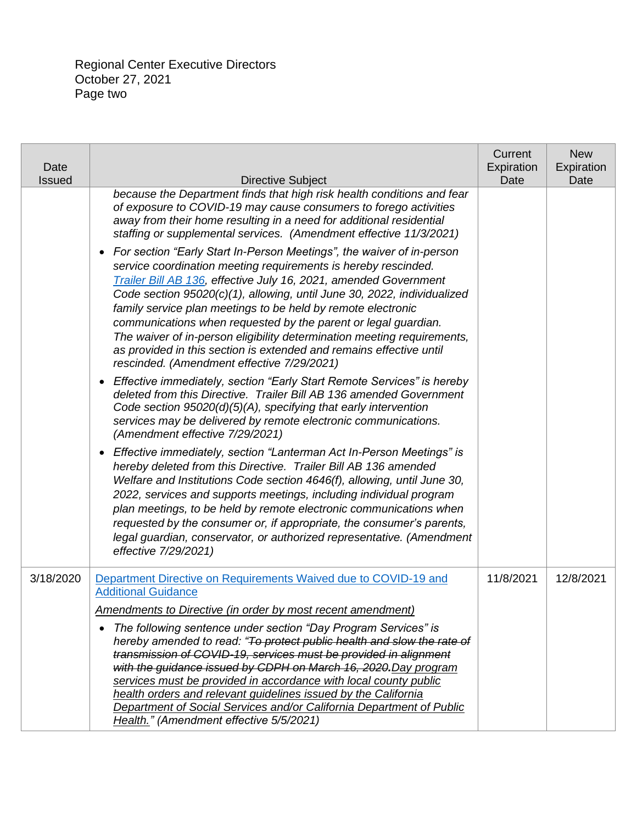| Date<br>Issued | <b>Directive Subject</b>                                                                                                                                                                                                                                                                                                                                                                                                                                                                                                                                                                                                 | Current<br>Expiration<br>Date | <b>New</b><br>Expiration<br>Date |
|----------------|--------------------------------------------------------------------------------------------------------------------------------------------------------------------------------------------------------------------------------------------------------------------------------------------------------------------------------------------------------------------------------------------------------------------------------------------------------------------------------------------------------------------------------------------------------------------------------------------------------------------------|-------------------------------|----------------------------------|
|                | because the Department finds that high risk health conditions and fear<br>of exposure to COVID-19 may cause consumers to forego activities<br>away from their home resulting in a need for additional residential<br>staffing or supplemental services. (Amendment effective 11/3/2021)                                                                                                                                                                                                                                                                                                                                  |                               |                                  |
|                | For section "Early Start In-Person Meetings", the waiver of in-person<br>service coordination meeting requirements is hereby rescinded.<br>Trailer Bill AB 136, effective July 16, 2021, amended Government<br>Code section 95020(c)(1), allowing, until June 30, 2022, individualized<br>family service plan meetings to be held by remote electronic<br>communications when requested by the parent or legal guardian.<br>The waiver of in-person eligibility determination meeting requirements,<br>as provided in this section is extended and remains effective until<br>rescinded. (Amendment effective 7/29/2021) |                               |                                  |
|                | Effective immediately, section "Early Start Remote Services" is hereby<br>deleted from this Directive. Trailer Bill AB 136 amended Government<br>Code section 95020(d)(5)(A), specifying that early intervention<br>services may be delivered by remote electronic communications.<br>(Amendment effective 7/29/2021)                                                                                                                                                                                                                                                                                                    |                               |                                  |
|                | Effective immediately, section "Lanterman Act In-Person Meetings" is<br>$\bullet$<br>hereby deleted from this Directive. Trailer Bill AB 136 amended<br>Welfare and Institutions Code section 4646(f), allowing, until June 30,<br>2022, services and supports meetings, including individual program<br>plan meetings, to be held by remote electronic communications when<br>requested by the consumer or, if appropriate, the consumer's parents,<br>legal guardian, conservator, or authorized representative. (Amendment<br>effective 7/29/2021)                                                                    |                               |                                  |
| 3/18/2020      | Department Directive on Requirements Waived due to COVID-19 and<br><b>Additional Guidance</b><br><b>Amendments to Directive (in order by most recent amendment)</b>                                                                                                                                                                                                                                                                                                                                                                                                                                                      | 11/8/2021                     | 12/8/2021                        |
|                | The following sentence under section "Day Program Services" is<br>hereby amended to read: "To protect public health and slow the rate of<br>transmission of COVID-19, services must be provided in alignment<br>with the guidance issued by CDPH on March 16, 2020. Day program<br>services must be provided in accordance with local county public<br>health orders and relevant guidelines issued by the California<br>Department of Social Services and/or California Department of Public<br>Health." (Amendment effective 5/5/2021)                                                                                 |                               |                                  |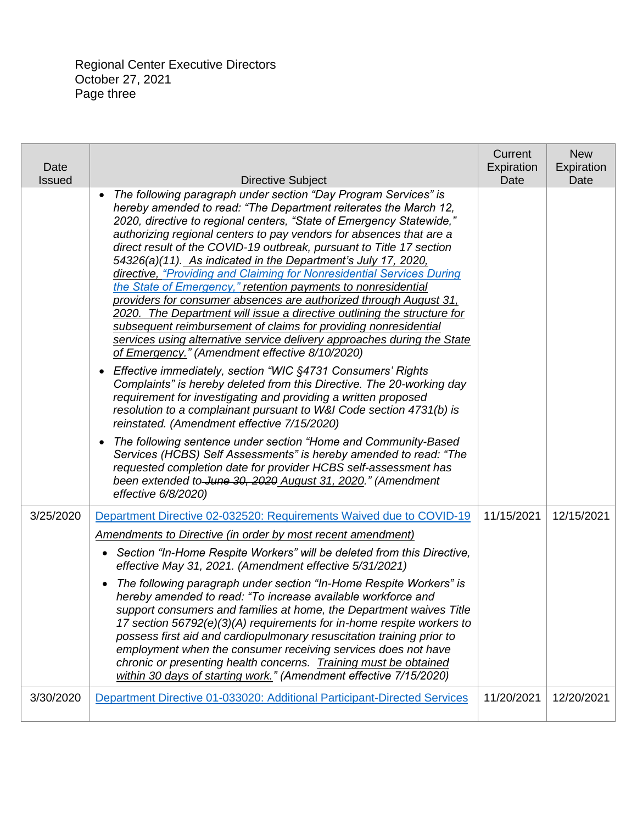Regional Center Executive Directors October 27, 2021 Page three

| Date<br><b>Issued</b> | <b>Directive Subject</b>                                                                                                                                                                                                                                                                                                                                                                                                                                                                                                                                                                                                                                                                                                                                                                                                                                                                                                                                                                                                                                                                                                                                                                                                                                                                                                                                                                                                                                                                    | Current<br>Expiration<br>Date | <b>New</b><br>Expiration<br>Date |
|-----------------------|---------------------------------------------------------------------------------------------------------------------------------------------------------------------------------------------------------------------------------------------------------------------------------------------------------------------------------------------------------------------------------------------------------------------------------------------------------------------------------------------------------------------------------------------------------------------------------------------------------------------------------------------------------------------------------------------------------------------------------------------------------------------------------------------------------------------------------------------------------------------------------------------------------------------------------------------------------------------------------------------------------------------------------------------------------------------------------------------------------------------------------------------------------------------------------------------------------------------------------------------------------------------------------------------------------------------------------------------------------------------------------------------------------------------------------------------------------------------------------------------|-------------------------------|----------------------------------|
|                       | The following paragraph under section "Day Program Services" is<br>$\bullet$<br>hereby amended to read: "The Department reiterates the March 12,<br>2020, directive to regional centers, "State of Emergency Statewide,"<br>authorizing regional centers to pay vendors for absences that are a<br>direct result of the COVID-19 outbreak, pursuant to Title 17 section<br>54326(a)(11). As indicated in the Department's July 17, 2020,<br>directive, "Providing and Claiming for Nonresidential Services During<br>the State of Emergency," retention payments to nonresidential<br>providers for consumer absences are authorized through August 31,<br>2020. The Department will issue a directive outlining the structure for<br>subsequent reimbursement of claims for providing nonresidential<br>services using alternative service delivery approaches during the State<br>of Emergency." (Amendment effective 8/10/2020)<br>• Effective immediately, section "WIC §4731 Consumers' Rights<br>Complaints" is hereby deleted from this Directive. The 20-working day<br>requirement for investigating and providing a written proposed<br>resolution to a complainant pursuant to W&I Code section 4731(b) is<br>reinstated. (Amendment effective 7/15/2020)<br>The following sentence under section "Home and Community-Based<br>$\bullet$<br>Services (HCBS) Self Assessments" is hereby amended to read: "The<br>requested completion date for provider HCBS self-assessment has |                               |                                  |
|                       | been extended to June 30, 2020 August 31, 2020." (Amendment<br>effective 6/8/2020)                                                                                                                                                                                                                                                                                                                                                                                                                                                                                                                                                                                                                                                                                                                                                                                                                                                                                                                                                                                                                                                                                                                                                                                                                                                                                                                                                                                                          |                               |                                  |
| 3/25/2020             | Department Directive 02-032520: Requirements Waived due to COVID-19<br>Amendments to Directive (in order by most recent amendment)                                                                                                                                                                                                                                                                                                                                                                                                                                                                                                                                                                                                                                                                                                                                                                                                                                                                                                                                                                                                                                                                                                                                                                                                                                                                                                                                                          | 11/15/2021                    | 12/15/2021                       |
|                       | • Section "In-Home Respite Workers" will be deleted from this Directive,<br>effective May 31, 2021. (Amendment effective 5/31/2021)                                                                                                                                                                                                                                                                                                                                                                                                                                                                                                                                                                                                                                                                                                                                                                                                                                                                                                                                                                                                                                                                                                                                                                                                                                                                                                                                                         |                               |                                  |
|                       | The following paragraph under section "In-Home Respite Workers" is<br>$\bullet$<br>hereby amended to read: "To increase available workforce and<br>support consumers and families at home, the Department waives Title<br>17 section 56792(e)(3)(A) requirements for in-home respite workers to<br>possess first aid and cardiopulmonary resuscitation training prior to<br>employment when the consumer receiving services does not have<br>chronic or presenting health concerns. Training must be obtained<br>within 30 days of starting work." (Amendment effective 7/15/2020)                                                                                                                                                                                                                                                                                                                                                                                                                                                                                                                                                                                                                                                                                                                                                                                                                                                                                                          |                               |                                  |
| 3/30/2020             | Department Directive 01-033020: Additional Participant-Directed Services                                                                                                                                                                                                                                                                                                                                                                                                                                                                                                                                                                                                                                                                                                                                                                                                                                                                                                                                                                                                                                                                                                                                                                                                                                                                                                                                                                                                                    | 11/20/2021                    | 12/20/2021                       |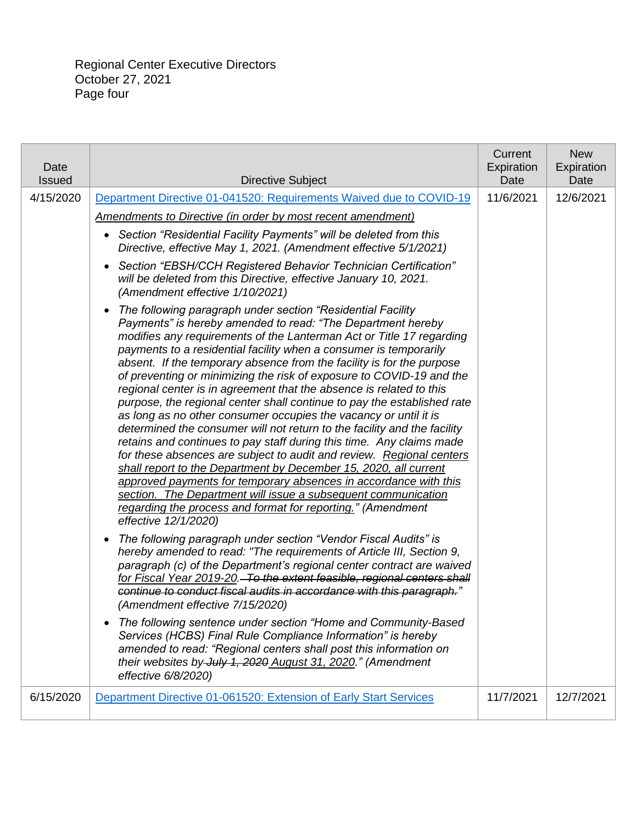| Date<br><b>Issued</b> | <b>Directive Subject</b>                                                                                                                                                                                                                                                                                                                                                                                                                                                                                                                                                                                                                                                                                                                                                                                                                                                                                                                                                                                                                                                                                                                                                                | Current<br>Expiration<br>Date | <b>New</b><br>Expiration<br>Date |
|-----------------------|-----------------------------------------------------------------------------------------------------------------------------------------------------------------------------------------------------------------------------------------------------------------------------------------------------------------------------------------------------------------------------------------------------------------------------------------------------------------------------------------------------------------------------------------------------------------------------------------------------------------------------------------------------------------------------------------------------------------------------------------------------------------------------------------------------------------------------------------------------------------------------------------------------------------------------------------------------------------------------------------------------------------------------------------------------------------------------------------------------------------------------------------------------------------------------------------|-------------------------------|----------------------------------|
| 4/15/2020             | Department Directive 01-041520: Requirements Waived due to COVID-19                                                                                                                                                                                                                                                                                                                                                                                                                                                                                                                                                                                                                                                                                                                                                                                                                                                                                                                                                                                                                                                                                                                     | 11/6/2021                     | 12/6/2021                        |
|                       | Amendments to Directive (in order by most recent amendment)                                                                                                                                                                                                                                                                                                                                                                                                                                                                                                                                                                                                                                                                                                                                                                                                                                                                                                                                                                                                                                                                                                                             |                               |                                  |
|                       | Section "Residential Facility Payments" will be deleted from this<br>$\bullet$<br>Directive, effective May 1, 2021. (Amendment effective 5/1/2021)                                                                                                                                                                                                                                                                                                                                                                                                                                                                                                                                                                                                                                                                                                                                                                                                                                                                                                                                                                                                                                      |                               |                                  |
|                       | Section "EBSH/CCH Registered Behavior Technician Certification"<br>$\bullet$<br>will be deleted from this Directive, effective January 10, 2021.<br>(Amendment effective 1/10/2021)                                                                                                                                                                                                                                                                                                                                                                                                                                                                                                                                                                                                                                                                                                                                                                                                                                                                                                                                                                                                     |                               |                                  |
|                       | The following paragraph under section "Residential Facility<br>$\bullet$<br>Payments" is hereby amended to read: "The Department hereby<br>modifies any requirements of the Lanterman Act or Title 17 regarding<br>payments to a residential facility when a consumer is temporarily<br>absent. If the temporary absence from the facility is for the purpose<br>of preventing or minimizing the risk of exposure to COVID-19 and the<br>regional center is in agreement that the absence is related to this<br>purpose, the regional center shall continue to pay the established rate<br>as long as no other consumer occupies the vacancy or until it is<br>determined the consumer will not return to the facility and the facility<br>retains and continues to pay staff during this time. Any claims made<br>for these absences are subject to audit and review. Regional centers<br>shall report to the Department by December 15, 2020, all current<br>approved payments for temporary absences in accordance with this<br>section. The Department will issue a subsequent communication<br>regarding the process and format for reporting." (Amendment<br>effective 12/1/2020) |                               |                                  |
|                       | The following paragraph under section "Vendor Fiscal Audits" is<br>$\bullet$<br>hereby amended to read: "The requirements of Article III, Section 9,<br>paragraph (c) of the Department's regional center contract are waived<br>for Fiscal Year 2019-20. To the extent feasible, regional centers shall<br>continue to conduct fiscal audits in accordance with this paragraph."<br>(Amendment effective 7/15/2020)                                                                                                                                                                                                                                                                                                                                                                                                                                                                                                                                                                                                                                                                                                                                                                    |                               |                                  |
|                       | The following sentence under section "Home and Community-Based<br>Services (HCBS) Final Rule Compliance Information" is hereby<br>amended to read: "Regional centers shall post this information on<br>their websites by July 1, 2020 August 31, 2020." (Amendment<br>effective 6/8/2020)                                                                                                                                                                                                                                                                                                                                                                                                                                                                                                                                                                                                                                                                                                                                                                                                                                                                                               |                               |                                  |
| 6/15/2020             | Department Directive 01-061520: Extension of Early Start Services                                                                                                                                                                                                                                                                                                                                                                                                                                                                                                                                                                                                                                                                                                                                                                                                                                                                                                                                                                                                                                                                                                                       | 11/7/2021                     | 12/7/2021                        |